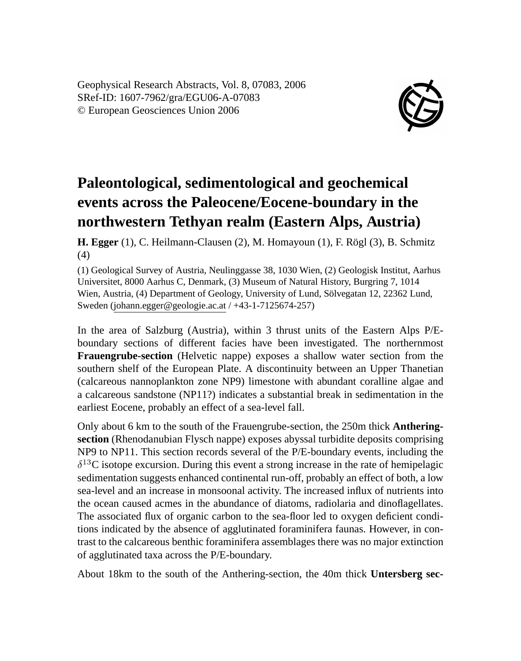Geophysical Research Abstracts, Vol. 8, 07083, 2006 SRef-ID: 1607-7962/gra/EGU06-A-07083 © European Geosciences Union 2006



## **Paleontological, sedimentological and geochemical events across the Paleocene/Eocene-boundary in the northwestern Tethyan realm (Eastern Alps, Austria)**

**H. Egger** (1), C. Heilmann-Clausen (2), M. Homayoun (1), F. Rögl (3), B. Schmitz (4)

(1) Geological Survey of Austria, Neulinggasse 38, 1030 Wien, (2) Geologisk Institut, Aarhus Universitet, 8000 Aarhus C, Denmark, (3) Museum of Natural History, Burgring 7, 1014 Wien, Austria, (4) Department of Geology, University of Lund, Sölvegatan 12, 22362 Lund, Sweden (johann.egger@geologie.ac.at / +43-1-7125674-257)

In the area of Salzburg (Austria), within 3 thrust units of the Eastern Alps P/Eboundary sections of different facies have been investigated. The northernmost **Frauengrube-section** (Helvetic nappe) exposes a shallow water section from the southern shelf of the European Plate. A discontinuity between an Upper Thanetian (calcareous nannoplankton zone NP9) limestone with abundant coralline algae and a calcareous sandstone (NP11?) indicates a substantial break in sedimentation in the earliest Eocene, probably an effect of a sea-level fall.

Only about 6 km to the south of the Frauengrube-section, the 250m thick **Antheringsection** (Rhenodanubian Flysch nappe) exposes abyssal turbidite deposits comprising NP9 to NP11. This section records several of the P/E-boundary events, including the  $\delta^{13}$ C isotope excursion. During this event a strong increase in the rate of hemipelagic sedimentation suggests enhanced continental run-off, probably an effect of both, a low sea-level and an increase in monsoonal activity. The increased influx of nutrients into the ocean caused acmes in the abundance of diatoms, radiolaria and dinoflagellates. The associated flux of organic carbon to the sea-floor led to oxygen deficient conditions indicated by the absence of agglutinated foraminifera faunas. However, in contrast to the calcareous benthic foraminifera assemblages there was no major extinction of agglutinated taxa across the P/E-boundary.

About 18km to the south of the Anthering-section, the 40m thick **Untersberg sec-**